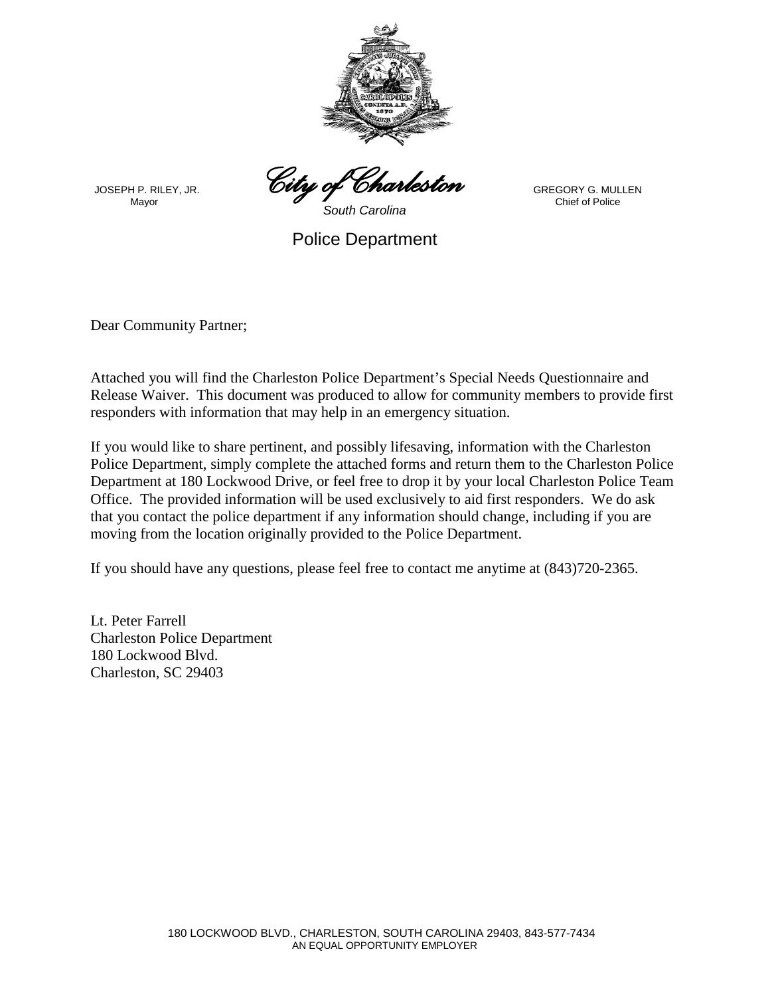

*City of Charleston* 

JOSEPH P. RILEY, JR.

GREGORY G. MULLEN Chief of Police

*South Carolina* Police Department

Dear Community Partner;

Mayor

Attached you will find the Charleston Police Department's Special Needs Questionnaire and Release Waiver. This document was produced to allow for community members to provide first responders with information that may help in an emergency situation.

If you would like to share pertinent, and possibly lifesaving, information with the Charleston Police Department, simply complete the attached forms and return them to the Charleston Police Department at 180 Lockwood Drive, or feel free to drop it by your local Charleston Police Team Office. The provided information will be used exclusively to aid first responders. We do ask that you contact the police department if any information should change, including if you are moving from the location originally provided to the Police Department.

If you should have any questions, please feel free to contact me anytime at (843)720-2365.

Lt. Peter Farrell Charleston Police Department 180 Lockwood Blvd. Charleston, SC 29403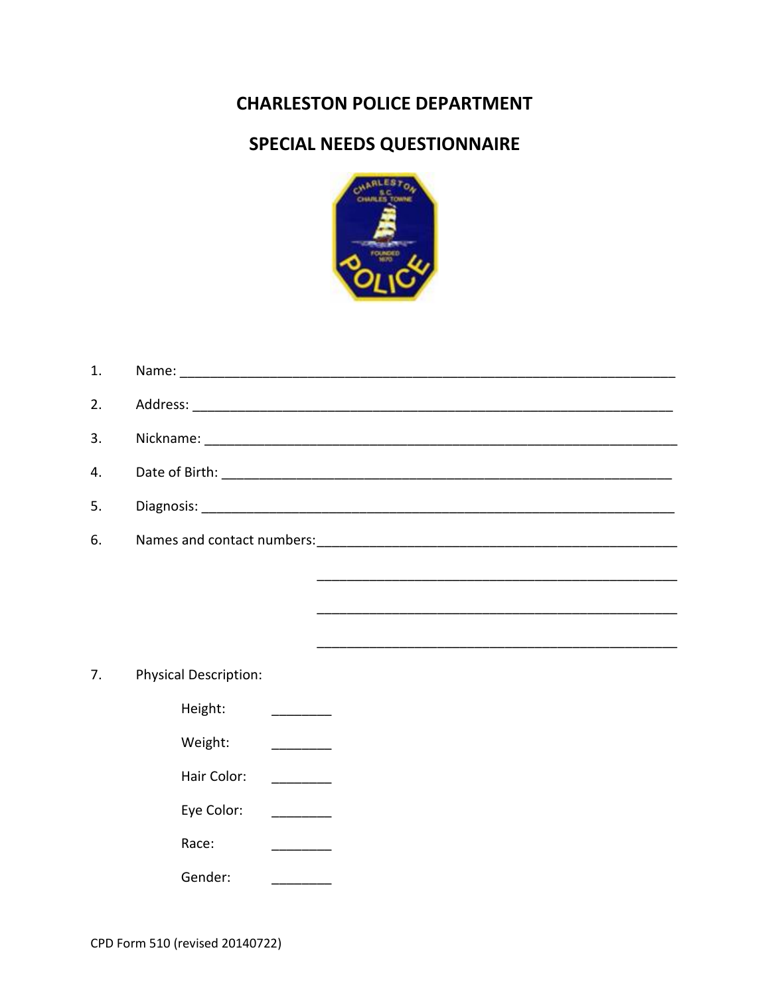## **CHARLESTON POLICE DEPARTMENT**

## SPECIAL NEEDS QUESTIONNAIRE



| 1. |                                                        |
|----|--------------------------------------------------------|
| 2. |                                                        |
| 3. |                                                        |
| 4. |                                                        |
| 5. |                                                        |
| 6. |                                                        |
|    |                                                        |
|    |                                                        |
|    |                                                        |
| 7. | <b>Physical Description:</b>                           |
|    | Height:                                                |
|    | Weight:                                                |
|    | Hair Color:                                            |
|    | Eye Color:<br>$\overline{\phantom{a}}$                 |
|    | Race:<br><u> 1989 - Johann Barnett, fransk kongres</u> |
|    | Gender:                                                |